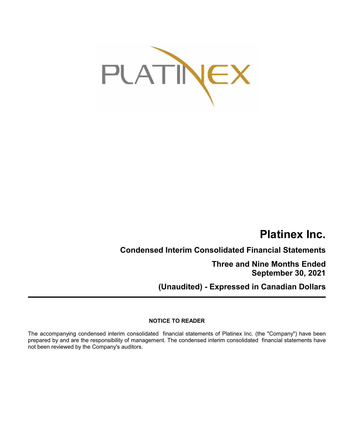

# **Platinex Inc.**

**Condensed Interim Consolidated Financial Statements**

**Three and Nine Months Ended September 30, 2021**

**(Unaudited) - Expressed in Canadian Dollars**

## **NOTICE TO READER**

The accompanying condensed interim consolidated financial statements of Platinex Inc. (the "Company") have been prepared by and are the responsibility of management. The condensed interim consolidated financial statements have not been reviewed by the Company's auditors.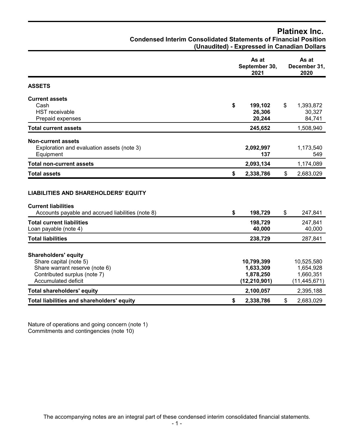## **Platinex Inc.**

| <b>Condensed Interim Consolidated Statements of Financial Position</b> |                                             |  |  |  |
|------------------------------------------------------------------------|---------------------------------------------|--|--|--|
|                                                                        | (Unaudited) - Expressed in Canadian Dollars |  |  |  |

|                                                                                                                                                | As at<br>September 30,<br>2021                         |                           | As at<br>December 31,<br>2020                          |  |  |
|------------------------------------------------------------------------------------------------------------------------------------------------|--------------------------------------------------------|---------------------------|--------------------------------------------------------|--|--|
| <b>ASSETS</b>                                                                                                                                  |                                                        |                           |                                                        |  |  |
| <b>Current assets</b><br>Cash<br><b>HST</b> receivable<br>Prepaid expenses                                                                     | \$<br>199,102<br>26,306<br>20,244                      | \$                        | 1,393,872<br>30,327<br>84,741                          |  |  |
| <b>Total current assets</b>                                                                                                                    | 245,652                                                |                           | 1,508,940                                              |  |  |
| <b>Non-current assets</b><br>Exploration and evaluation assets (note 3)<br>Equipment                                                           | 2,092,997<br>137                                       |                           | 1,173,540<br>549                                       |  |  |
| <b>Total non-current assets</b>                                                                                                                | 2,093,134                                              |                           | 1,174,089                                              |  |  |
| <b>Total assets</b>                                                                                                                            | \$<br>2,338,786                                        | $\boldsymbol{\mathsf{s}}$ | 2,683,029                                              |  |  |
| <b>LIABILITIES AND SHAREHOLDERS' EQUITY</b><br><b>Current liabilities</b><br>Accounts payable and accrued liabilities (note 8)                 | \$<br>198,729                                          | \$                        | 247,841                                                |  |  |
| <b>Total current liabilities</b><br>Loan payable (note 4)                                                                                      | 198,729<br>40,000                                      |                           | 247,841<br>40,000                                      |  |  |
| <b>Total liabilities</b>                                                                                                                       | 238,729                                                |                           | 287,841                                                |  |  |
| <b>Shareholders' equity</b><br>Share capital (note 5)<br>Share warrant reserve (note 6)<br>Contributed surplus (note 7)<br>Accumulated deficit | 10,799,399<br>1,633,309<br>1,878,250<br>(12, 210, 901) |                           | 10,525,580<br>1,654,928<br>1,660,351<br>(11, 445, 671) |  |  |
| <b>Total shareholders' equity</b>                                                                                                              | 2,100,057                                              |                           | 2,395,188                                              |  |  |
| Total liabilities and shareholders' equity                                                                                                     | \$<br>2,338,786                                        | \$                        | 2,683,029                                              |  |  |

Nature of operations and going concern (note 1) Commitments and contingencies (note 10)

The accompanying notes are an integral part of these condensed interim consolidated financial statements.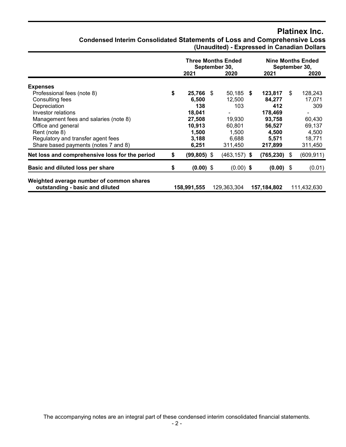## **Platinex Inc.**

| <b>Condensed Interim Consolidated Statements of Loss and Comprehensive Loss</b> |  |                                             |  |
|---------------------------------------------------------------------------------|--|---------------------------------------------|--|
|                                                                                 |  | (Unaudited) - Expressed in Canadian Dollars |  |

|                                                                             | <b>Three Months Ended</b><br>September 30,<br>2021<br>2020 |  |                 |  | <b>Nine Months Ended</b><br>September 30,<br>2020<br>2021 |    |             |  |
|-----------------------------------------------------------------------------|------------------------------------------------------------|--|-----------------|--|-----------------------------------------------------------|----|-------------|--|
| <b>Expenses</b>                                                             |                                                            |  |                 |  |                                                           |    |             |  |
| Professional fees (note 8)                                                  | \$<br>25,766 \$                                            |  | $50,185$ \$     |  | 123,817                                                   | \$ | 128,243     |  |
| Consulting fees                                                             | 6,500                                                      |  | 12,500          |  | 84,277                                                    |    | 17,071      |  |
| Depreciation                                                                | 138                                                        |  | 103             |  | 412                                                       |    | 309         |  |
| Investor relations                                                          | 18,041                                                     |  | ۰               |  | 178,469                                                   |    |             |  |
| Management fees and salaries (note 8)                                       | 27,508                                                     |  | 19,930          |  | 93,758                                                    |    | 60,430      |  |
| Office and general                                                          | 10,913                                                     |  | 60,801          |  | 56,527                                                    |    | 69,137      |  |
| Rent (note 8)                                                               | 1,500                                                      |  | 1.500           |  | 4,500                                                     |    | 4,500       |  |
| Regulatory and transfer agent fees                                          | 3,188                                                      |  | 6,688           |  | 5,571                                                     |    | 18,771      |  |
| Share based payments (notes 7 and 8)                                        | 6,251                                                      |  | 311,450         |  | 217,899                                                   |    | 311,450     |  |
| Net loss and comprehensive loss for the period                              | \$<br>$(99, 805)$ \$                                       |  | $(463, 157)$ \$ |  | (765, 230)                                                | \$ | (609, 911)  |  |
| Basic and diluted loss per share                                            | \$<br>$(0.00)$ \$                                          |  | $(0.00)$ \$     |  | $(0.00)$ \$                                               |    | (0.01)      |  |
| Weighted average number of common shares<br>outstanding - basic and diluted | 158,991,555                                                |  | 129,363,304     |  | 157,184,802                                               |    | 111,432,630 |  |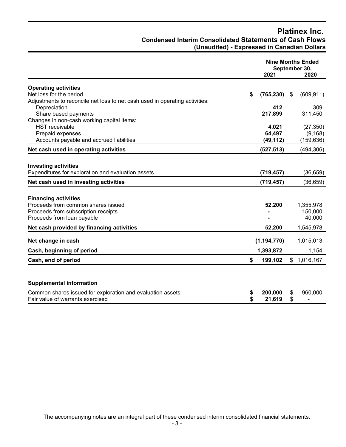## **Platinex Inc. Condensed Interim Consolidated Statements of Cash Flows (Unaudited) - Expressed in Canadian Dollars**

|                                                                                                |          | <b>Nine Months Ended</b><br>September 30,<br>2021<br>2020 |          |                           |
|------------------------------------------------------------------------------------------------|----------|-----------------------------------------------------------|----------|---------------------------|
| <b>Operating activities</b>                                                                    |          |                                                           |          |                           |
| Net loss for the period                                                                        | \$       | (765, 230)                                                | \$       | (609, 911)                |
| Adjustments to reconcile net loss to net cash used in operating activities:                    |          |                                                           |          |                           |
| Depreciation                                                                                   |          | 412                                                       |          | 309                       |
| Share based payments<br>Changes in non-cash working capital items:                             |          | 217,899                                                   |          | 311,450                   |
| <b>HST</b> receivable                                                                          |          | 4,021                                                     |          | (27, 350)                 |
| Prepaid expenses                                                                               |          | 64,497                                                    |          | (9, 168)                  |
| Accounts payable and accrued liabilities                                                       |          | (49, 112)                                                 |          | (159, 636)                |
| Net cash used in operating activities                                                          |          | (527, 513)                                                |          | (494, 306)                |
| <b>Investing activities</b><br>Expenditures for exploration and evaluation assets              |          | (719, 457)                                                |          | (36, 659)                 |
| Net cash used in investing activities                                                          |          | (719, 457)                                                |          | (36, 659)                 |
|                                                                                                |          |                                                           |          |                           |
| <b>Financing activities</b>                                                                    |          |                                                           |          |                           |
| Proceeds from common shares issued                                                             |          | 52,200                                                    |          | 1,355,978                 |
| Proceeds from subscription receipts                                                            |          |                                                           |          | 150,000                   |
| Proceeds from loan payable                                                                     |          |                                                           |          | 40,000                    |
| Net cash provided by financing activities                                                      |          | 52,200                                                    |          | 1,545,978                 |
| Net change in cash                                                                             |          | (1, 194, 770)                                             |          | 1,015,013                 |
| Cash, beginning of period                                                                      |          | 1,393,872                                                 |          | 1,154                     |
| Cash, end of period                                                                            | \$       | 199,102                                                   |          | \$1,016,167               |
|                                                                                                |          |                                                           |          |                           |
| <b>Supplemental information</b>                                                                |          |                                                           |          |                           |
| Common shares issued for exploration and evaluation assets<br>Fair value of warrants exercised | \$<br>\$ | 200,000<br>21,619                                         | \$<br>\$ | 960,000<br>$\blacksquare$ |

The accompanying notes are an integral part of these condensed interim consolidated financial statements.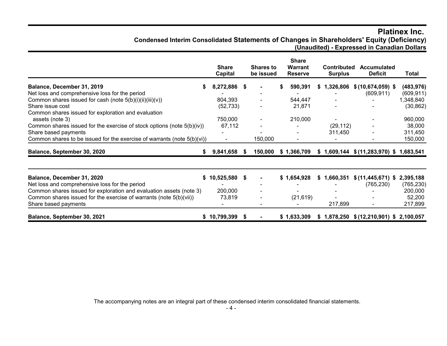## **Platinex Inc. Condensed Interim Consolidated Statements of Changes in Shareholders' Equity (Deficiency) (Unaudited) - Expressed in Canadian Dollars**

|                                                                            | <b>Share</b><br>Capital |     | <b>Shares to</b><br>be issued | <b>Share</b><br><b>Warrant</b><br><b>Reserve</b> | <b>Contributed</b><br><b>Surplus</b> | <b>Accumulated</b><br><b>Deficit</b>       | <b>Total</b> |
|----------------------------------------------------------------------------|-------------------------|-----|-------------------------------|--------------------------------------------------|--------------------------------------|--------------------------------------------|--------------|
| Balance, December 31, 2019                                                 | 8,272,886 \$            |     |                               | 590,391                                          |                                      | $$1,326,806$ $$(10,674,059)$ \$            | (483, 976)   |
| Net loss and comprehensive loss for the period                             |                         |     |                               |                                                  |                                      | (609, 911)                                 | (609, 911)   |
| Common shares issued for cash (note 5(b)(i)(ii)(iii)(v))                   | 804,393                 |     |                               | 544,447                                          |                                      |                                            | 1,348,840    |
| Share issue cost                                                           | (52, 733)               |     |                               | 21,871                                           |                                      |                                            | (30, 862)    |
| Common shares issued for exploration and evaluation                        |                         |     |                               |                                                  |                                      |                                            |              |
| assets (note 3)                                                            | 750,000                 |     |                               | 210,000                                          |                                      |                                            | 960,000      |
| Common shares issued for the exercise of stock options (note 5(b)(iv))     | 67,112                  |     |                               |                                                  | (29, 112)                            |                                            | 38,000       |
| Share based payments                                                       |                         |     |                               |                                                  | 311,450                              |                                            | 311,450      |
| Common shares to be issued for the exercise of warrants (note $5(b)(vi)$ ) |                         |     | 150,000                       |                                                  |                                      |                                            | 150,000      |
| Balance, September 30, 2020<br>S.                                          | 9,841,658               |     | 150,000                       | \$1,366,709                                      |                                      | $$1,609,144$ $$ (11,283,970)$ $$1,683,541$ |              |
|                                                                            |                         |     |                               |                                                  |                                      |                                            |              |
| Balance, December 31, 2020                                                 | 10,525,580 \$<br>S.     |     |                               | \$1,654,928                                      | \$1,660,351                          | $$(11, 445, 671)$ \$                       | 2,395,188    |
| Net loss and comprehensive loss for the period                             |                         |     |                               |                                                  |                                      | (765, 230)                                 | (765, 230)   |
| Common shares issued for exploration and evaluation assets (note 3)        | 200,000                 |     |                               |                                                  |                                      |                                            | 200,000      |
| Common shares issued for the exercise of warrants (note 5(b)(vii))         | 73,819                  |     |                               | (21, 619)                                        |                                      |                                            | 52,200       |
| Share based payments                                                       |                         |     |                               |                                                  | 217,899                              |                                            | 217,899      |
| Balance, September 30, 2021                                                | \$10,799,399            | - 5 |                               | \$1,633,309                                      |                                      | $$1,878,250$ $$(12,210,901)$ \$ 2,100,057  |              |

The accompanying notes are an integral part of these condensed interim consolidated financial statements.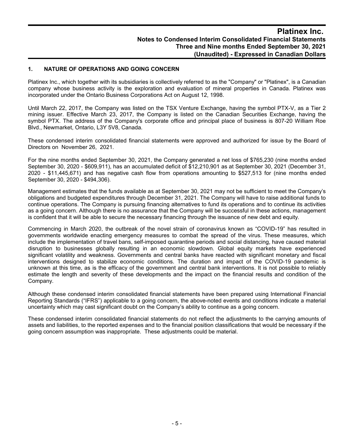#### **1. NATURE OF OPERATIONS AND GOING CONCERN**

Platinex Inc., which together with its subsidiaries is collectively referred to as the "Company" or "Platinex", is a Canadian company whose business activity is the exploration and evaluation of mineral properties in Canada. Platinex was incorporated under the Ontario Business Corporations Act on August 12, 1998.

Until March 22, 2017, the Company was listed on the TSX Venture Exchange, having the symbol PTX-V, as a Tier 2 mining issuer. Effective March 23, 2017, the Company is listed on the Canadian Securities Exchange, having the symbol PTX. The address of the Company's corporate office and principal place of business is 807-20 William Roe Blvd., Newmarket, Ontario, L3Y 5V8, Canada.

These condensed interim consolidated financial statements were approved and authorized for issue by the Board of Directors on November 26, 2021.

For the nine months ended September 30, 2021, the Company generated a net loss of \$765,230 (nine months ended September 30, 2020 - \$609,911), has an accumulated deficit of \$12,210,901 as at September 30, 2021 (December 31, 2020 - \$11,445,671) and has negative cash flow from operations amounting to \$527,513 for (nine months ended September 30, 2020 - \$494,306).

Management estimates that the funds available as at September 30, 2021 may not be sufficient to meet the Company's obligations and budgeted expenditures through December 31, 2021. The Company will have to raise additional funds to continue operations. The Company is pursuing financing alternatives to fund its operations and to continue its activities as a going concern. Although there is no assurance that the Company will be successful in these actions, management is confident that it will be able to secure the necessary financing through the issuance of new debt and equity.

Commencing in March 2020, the outbreak of the novel strain of coronavirus known as "COVID-19" has resulted in governments worldwide enacting emergency measures to combat the spread of the virus. These measures, which include the implementation of travel bans, self-imposed quarantine periods and social distancing, have caused material disruption to businesses globally resulting in an economic slowdown. Global equity markets have experienced significant volatility and weakness. Governments and central banks have reacted with significant monetary and fiscal interventions designed to stabilize economic conditions. The duration and impact of the COVID-19 pandemic is unknown at this time, as is the efficacy of the government and central bank interventions. It is not possible to reliably estimate the length and severity of these developments and the impact on the financial results and condition of the Company.

Although these condensed interim consolidated financial statements have been prepared using International Financial Reporting Standards ("IFRS") applicable to a going concern, the above-noted events and conditions indicate a material uncertainty which may cast significant doubt on the Company's ability to continue as a going concern.

These condensed interim consolidated financial statements do not reflect the adjustments to the carrying amounts of assets and liabilities, to the reported expenses and to the financial position classifications that would be necessary if the going concern assumption was inappropriate. These adjustments could be material.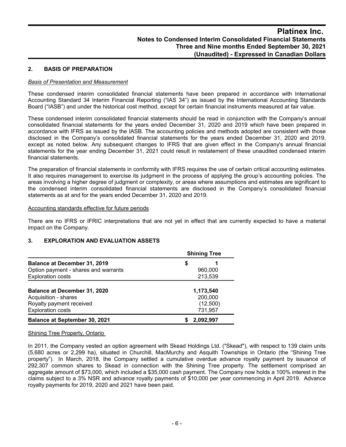## **2. BASIS OF PREPARATION**

#### *Basis of Presentation and Measurement*

These condensed interim consolidated financial statements have been prepared in accordance with International Accounting Standard 34 Interim Financial Reporting ("IAS 34") as issued by the International Accounting Standards Board ("IASB") and under the historical cost method, except for certain financial instruments measured at fair value.

These condensed interim consolidated financial statements should be read in conjunction with the Company's annual consolidated financial statements for the years ended December 31, 2020 and 2019 which have been prepared in accordance with IFRS as issued by the IASB. The accounting policies and methods adopted are consistent with those disclosed in the Company's consolidated financial statements for the years ended December 31, 2020 and 2019, except as noted below. Any subsequent changes to IFRS that are given effect in the Company's annual financial statements for the year ending December 31, 2021 could result in restatement of these unaudited condensed interim financial statements.

The preparation of financial statements in conformity with IFRS requires the use of certain critical accounting estimates. It also requires management to exercise its judgment in the process of applying the group's accounting policies. The areas involving a higher degree of judgment or complexity, or areas where assumptions and estimates are significant to the condensed interim consolidated financial statements are disclosed in the Company's consolidated financial statements as at and for the years ended December 31, 2020 and 2019.

#### Accounting standards effective for future periods

There are no IFRS or IFRIC interpretations that are not yet in effect that are currently expected to have a material impact on the Company.

## **3. EXPLORATION AND EVALUATION ASSETS**

|                                      | <b>Shining Tree</b> |           |  |  |  |  |
|--------------------------------------|---------------------|-----------|--|--|--|--|
| Balance at December 31, 2019         | \$                  |           |  |  |  |  |
| Option payment - shares and warrants |                     | 960,000   |  |  |  |  |
| <b>Exploration costs</b>             |                     | 213,539   |  |  |  |  |
| <b>Balance at December 31, 2020</b>  |                     | 1,173,540 |  |  |  |  |
| Acquisition - shares                 |                     | 200,000   |  |  |  |  |
| Royalty payment received             |                     | (12,500)  |  |  |  |  |
| <b>Exploration costs</b>             |                     | 731,957   |  |  |  |  |
| <b>Balance at September 30, 2021</b> |                     | 2.092.997 |  |  |  |  |

#### Shining Tree Property, Ontario

In 2011, the Company vested an option agreement with Skead Holdings Ltd. ("Skead"), with respect to 139 claim units (5,680 acres or 2,299 ha), situated in Churchill, MacMurchy and Asquith Townships in Ontario (the "Shining Tree property"). In March, 2018, the Company settled a cumulative overdue advance royalty payment by issuance of 292,307 common shares to Skead in connection with the Shining Tree property. The settlement comprised an aggregate amount of \$73,000, which included a \$35,000 cash payment. The Company now holds a 100% interest in the claims subject to a 3% NSR and advance royalty payments of \$10,000 per year commencing in April 2019. Advance royalty payments for 2019, 2020 and 2021 have been paid.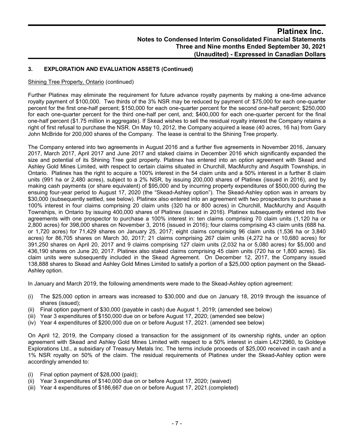## **3. EXPLORATION AND EVALUATION ASSETS (Continued)**

#### Shining Tree Property, Ontario (continued)

Further Platinex may eliminate the requirement for future advance royalty payments by making a one-time advance royalty payment of \$100,000. Two thirds of the 3% NSR may be reduced by payment of: \$75,000 for each one-quarter percent for the first one-half percent; \$150,000 for each one-quarter percent for the second one-half percent; \$250,000 for each one-quarter percent for the third one-half per cent, and; \$400,000 for each one-quarter percent for the final one-half percent (\$1.75 million in aggregate). If Skead wishes to sell the residual royalty interest the Company retains a right of first refusal to purchase the NSR. On May 10, 2012, the Company acquired a lease (40 acres, 16 ha) from Gary John McBride for 200,000 shares of the Company. The lease is central to the Shining Tree property.

The Company entered into two agreements in August 2016 and a further five agreements in November 2016, January 2017, March 2017, April 2017 and June 2017 and staked claims in December 2016 which significantly expanded the size and potential of its Shining Tree gold property. Platinex has entered into an option agreement with Skead and Ashley Gold Mines Limited, with respect to certain claims situated in Churchill, MacMurchy and Asquith Townships, in Ontario. Platinex has the right to acquire a 100% interest in the 54 claim units and a 50% interest in a further 8 claim units (991 ha or 2,480 acres), subject to a 2% NSR, by issuing 200,000 shares of Platinex (issued in 2016), and by making cash payments (or share equivalent) of \$95,000 and by incurring property expenditures of \$500,000 during the ensuing four-year period to August 17, 2020 (the "Skead-Ashley option"). The Skead-Ashley option was in arrears by \$30,000 (subsequently settled, see below). Platinex also entered into an agreement with two prospectors to purchase a 100% interest in four claims comprising 20 claim units (320 ha or 800 acres) in Churchill, MacMurchy and Asquith Townships, in Ontario by issuing 400,000 shares of Platinex (issued in 2016). Platinex subsequently entered into five agreements with one prospector to purchase a 100% interest in: ten claims comprising 70 claim units (1,120 ha or 2,800 acres) for 398,000 shares on November 3, 2016 (issued in 2016); four claims comprising 43 claim units (688 ha. or 1,720 acres) for 71,429 shares on January 25, 2017; eight claims comprising 96 claim units (1,536 ha or 3,840 acres) for 86,705 shares on March 30, 2017; 21 claims comprising 267 claim units (4,272 ha or 10,680 acres) for 391,250 shares on April 20, 2017 and 9 claims comprising 127 claim units (2,032 ha or 5,080 acres) for \$5,000 and 436,190 shares on June 20, 2017. Platinex also staked claims comprising 45 claim units (720 ha or 1,800 acres). Six claim units were subsequently included in the Skead Agreement. On December 12, 2017, the Company issued 138,888 shares to Skead and Ashley Gold Mines Limited to satisfy a portion of a \$25,000 option payment on the Skead-Ashley option.

In January and March 2019, the following amendments were made to the Skead-Ashley option agreement:

- (i) The \$25,000 option in arrears was increased to \$30,000 and due on January 18, 2019 through the issuance of shares (issued);
- (ii) Final option payment of \$30,000 (payable in cash) due August 1, 2019; (amended see below)
- (iii) Year 3 expenditures of \$150,000 due on or before August 17, 2020; (amended see below)
- (iv) Year 4 expenditures of \$200,000 due on or before August 17, 2021. (amended see below)

On April 12, 2019, the Company closed a transaction for the assignment of its ownership rights, under an option agreement with Skead and Ashley Gold Mines Limited with respect to a 50% interest in claim L4212960, to Goldeye Explorations Ltd., a subsidiary of Treasury Metals Inc. The terms include proceeds of \$25,000 received in cash and a 1% NSR royalty on 50% of the claim. The residual requirements of Platinex under the Skead-Ashley option were accordingly amended to:

- (i) Final option payment of \$28,000 (paid);
- (ii) Year 3 expenditures of \$140,000 due on or before August 17, 2020; (waived)
- (iii) Year 4 expenditures of \$186,667 due on or before August 17, 2021.(completed)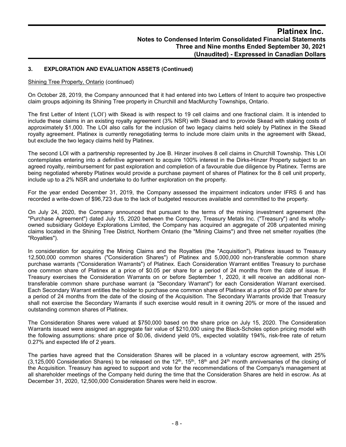## **3. EXPLORATION AND EVALUATION ASSETS (Continued)**

#### Shining Tree Property, Ontario (continued)

On October 28, 2019, the Company announced that it had entered into two Letters of Intent to acquire two prospective claim groups adjoining its Shining Tree property in Churchill and MacMurchy Townships, Ontario.

The first Letter of Intent ('LOI') with Skead is with respect to 19 cell claims and one fractional claim. It is intended to include these claims in an existing royalty agreement (3% NSR) with Skead and to provide Skead with staking costs of approximately \$1,000. The LOI also calls for the inclusion of two legacy claims held solely by Platinex in the Skead royalty agreement. Platinex is currently renegotiating terms to include more claim units in the agreement with Skead, but exclude the two legacy claims held by Platinex.

The second LOI with a partnership represented by Joe B. Hinzer involves 8 cell claims in Churchill Township. This LOI contemplates entering into a definitive agreement to acquire 100% interest in the Dirks-Hinzer Property subject to an agreed royalty, reimbursement for past exploration and completion of a favourable due diligence by Platinex. Terms are being negotiated whereby Platinex would provide a purchase payment of shares of Platinex for the 8 cell unit property, include up to a 2% NSR and undertake to do further exploration on the property.

For the year ended December 31, 2019, the Company assessed the impairment indicators under IFRS 6 and has recorded a write-down of \$96,723 due to the lack of budgeted resources available and committed to the property.

On July 24, 2020, the Company announced that pursuant to the terms of the mining investment agreement (the "Purchase Agreement") dated July 15, 2020 between the Company, Treasury Metals Inc. ("Treasury") and its whollyowned subsidiary Goldeye Explorations Limited, the Company has acquired an aggregate of 208 unpatented mining claims located in the Shining Tree District, Northern Ontario (the "Mining Claims") and three net smelter royalties (the "Royalties").

In consideration for acquiring the Mining Claims and the Royalties (the "Acquisition"), Platinex issued to Treasury 12,500,000 common shares ("Consideration Shares") of Platinex and 5,000,000 non-transferable common share purchase warrants ("Consideration Warrants") of Platinex. Each Consideration Warrant entitles Treasury to purchase one common share of Platinex at a price of \$0.05 per share for a period of 24 months from the date of issue. If Treasury exercises the Consideration Warrants on or before September 1, 2020, it will receive an additional nontransferable common share purchase warrant (a "Secondary Warrant") for each Consideration Warrant exercised. Each Secondary Warrant entitles the holder to purchase one common share of Platinex at a price of \$0.20 per share for a period of 24 months from the date of the closing of the Acquisition. The Secondary Warrants provide that Treasury shall not exercise the Secondary Warrants if such exercise would result in it owning 20% or more of the issued and outstanding common shares of Platinex.

The Consideration Shares were valued at \$750,000 based on the share price on July 15, 2020. The Consideration Warrants issued were assigned an aggregate fair value of \$210,000 using the Black-Scholes option pricing model with the following assumptions: share price of \$0.06, dividend yield 0%, expected volatility 194%, risk-free rate of return 0.27% and expected life of 2 years.

The parties have agreed that the Consideration Shares will be placed in a voluntary escrow agreement, with 25% (3,125,000 Consideration Shares) to be released on the 12<sup>th</sup>, 15<sup>th</sup>, 18<sup>th</sup> and 24<sup>th</sup> month anniversaries of the closing of the Acquisition. Treasury has agreed to support and vote for the recommendations of the Company's management at all shareholder meetings of the Company held during the time that the Consideration Shares are held in escrow. As at December 31, 2020, 12,500,000 Consideration Shares were held in escrow.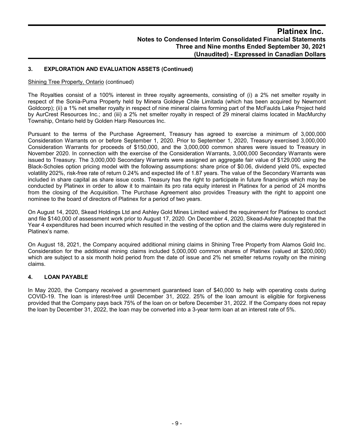## **3. EXPLORATION AND EVALUATION ASSETS (Continued)**

#### Shining Tree Property, Ontario (continued)

The Royalties consist of a 100% interest in three royalty agreements, consisting of (i) a 2% net smelter royalty in respect of the Sonia-Puma Property held by Minera Goldeye Chile Limitada (which has been acquired by Newmont Goldcorp); (ii) a 1% net smelter royalty in respect of nine mineral claims forming part of the McFaulds Lake Project held by AurCrest Resources Inc.; and (iii) a 2% net smelter royalty in respect of 29 mineral claims located in MacMurchy Township, Ontario held by Golden Harp Resources Inc.

Pursuant to the terms of the Purchase Agreement, Treasury has agreed to exercise a minimum of 3,000,000 Consideration Warrants on or before September 1, 2020. Prior to September 1, 2020, Treasury exercised 3,000,000 Consideration Warrants for proceeds of \$150,000, and the 3,000,000 common shares were issued to Treasury in November 2020. In connection with the exercise of the Consideration Warrants, 3,000,000 Secondary Warrants were issued to Treasury. The 3,000,000 Secondary Warrants were assigned an aggregate fair value of \$129,000 using the Black-Scholes option pricing model with the following assumptions: share price of \$0.06, dividend yield 0%, expected volatility 202%, risk-free rate of return 0.24% and expected life of 1.87 years. The value of the Secondary Warrants was included in share capital as share issue costs. Treasury has the right to participate in future financings which may be conducted by Platinex in order to allow it to maintain its pro rata equity interest in Platinex for a period of 24 months from the closing of the Acquisition. The Purchase Agreement also provides Treasury with the right to appoint one nominee to the board of directors of Platinex for a period of two years.

On August 14, 2020, Skead Holdings Ltd and Ashley Gold Mines Limited waived the requirement for Platinex to conduct and file \$140,000 of assessment work prior to August 17, 2020. On December 4, 2020, Skead-Ashley accepted that the Year 4 expenditures had been incurred which resulted in the vesting of the option and the claims were duly registered in Platinex's name.

On August 18, 2021, the Company acquired additional mining claims in Shining Tree Property from Alamos Gold Inc. Consideration for the additional mining claims included 5,000,000 common shares of Platinex (valued at \$200,000) which are subject to a six month hold period from the date of issue and 2% net smelter returns royalty on the mining claims.

## **4. LOAN PAYABLE**

In May 2020, the Company received a government guaranteed loan of \$40,000 to help with operating costs during COVID-19. The loan is interest-free until December 31, 2022. 25% of the loan amount is eligible for forgiveness provided that the Company pays back 75% of the loan on or before December 31, 2022. If the Company does not repay the loan by December 31, 2022, the loan may be converted into a 3-year term loan at an interest rate of 5%.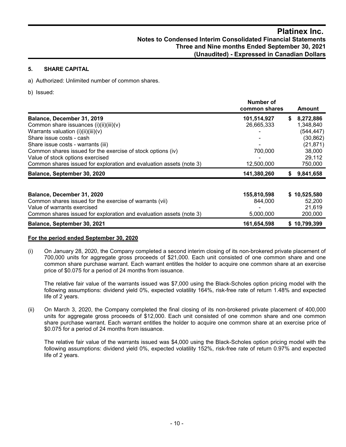## **5. SHARE CAPITAL**

a) Authorized: Unlimited number of common shares.

b) Issued:

|                                                                     | Number of<br>common shares |   | <b>Amount</b> |
|---------------------------------------------------------------------|----------------------------|---|---------------|
| Balance, December 31, 2019                                          | 101,514,927                | S | 8,272,886     |
| Common share issuances (i)(ii)(iii)(v)                              | 26,665,333                 |   | 1,348,840     |
| Warrants valuation (i)(ii)(iii)(v)                                  |                            |   | (544, 447)    |
| Share issue costs - cash                                            | -                          |   | (30, 862)     |
| Share issue costs - warrants (iii)                                  |                            |   | (21, 871)     |
| Common shares issued for the exercise of stock options (iv)         | 700,000                    |   | 38,000        |
| Value of stock options exercised                                    |                            |   | 29,112        |
| Common shares issued for exploration and evaluation assets (note 3) | 12,500,000                 |   | 750,000       |
| Balance, September 30, 2020                                         | 141,380,260                | S | 9,841,658     |
|                                                                     |                            |   |               |
| Balance, December 31, 2020                                          | 155,810,598                |   | \$10,525,580  |
| Common shares issued for the exercise of warrants (vii)             | 844,000                    |   | 52,200        |
| Value of warrants exercised                                         |                            |   | 21,619        |
| Common shares issued for exploration and evaluation assets (note 3) | 5,000,000                  |   | 200,000       |
| Balance, September 30, 2021                                         | 161,654,598                |   | \$10,799,399  |

## **For the period ended September 30, 2020**

(i) On January 28, 2020, the Company completed a second interim closing of its non-brokered private placement of 700,000 units for aggregate gross proceeds of \$21,000. Each unit consisted of one common share and one common share purchase warrant. Each warrant entitles the holder to acquire one common share at an exercise price of \$0.075 for a period of 24 months from issuance.

The relative fair value of the warrants issued was \$7,000 using the Black-Scholes option pricing model with the following assumptions: dividend yield 0%, expected volatility 164%, risk-free rate of return 1.48% and expected life of 2 years.

(ii) On March 3, 2020, the Company completed the final closing of its non-brokered private placement of 400,000 units for aggregate gross proceeds of \$12,000. Each unit consisted of one common share and one common share purchase warrant. Each warrant entitles the holder to acquire one common share at an exercise price of \$0.075 for a period of 24 months from issuance.

The relative fair value of the warrants issued was \$4,000 using the Black-Scholes option pricing model with the following assumptions: dividend yield 0%, expected volatility 152%, risk-free rate of return 0.97% and expected life of 2 years.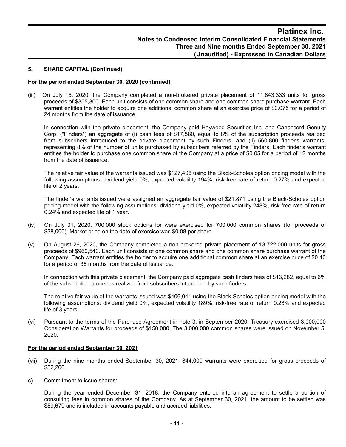#### **5. SHARE CAPITAL (Continued)**

#### **For the period ended September 30, 2020 (continued)**

(iii) On July 15, 2020, the Company completed a non-brokered private placement of 11,843,333 units for gross proceeds of \$355,300. Each unit consists of one common share and one common share purchase warrant. Each warrant entitles the holder to acquire one additional common share at an exercise price of \$0.075 for a period of 24 months from the date of issuance.

In connection with the private placement, the Company paid Haywood Securities Inc. and Canaccord Genuity Corp. ("Finders") an aggregate of (i) cash fees of \$17,580, equal to 8% of the subscription proceeds realized from subscribers introduced to the private placement by such Finders; and (ii) 560,800 finder's warrants, representing 8% of the number of units purchased by subscribers referred by the Finders. Each finder's warrant entitles the holder to purchase one common share of the Company at a price of \$0.05 for a period of 12 months from the date of issuance.

The relative fair value of the warrants issued was \$127,406 using the Black-Scholes option pricing model with the following assumptions: dividend yield 0%, expected volatility 194%, risk-free rate of return 0.27% and expected life of 2 years.

The finder's warrants issued were assigned an aggregate fair value of \$21,871 using the Black-Scholes option pricing model with the following assumptions: dividend yield 0%, expected volatility 248%, risk-free rate of return 0.24% and expected life of 1 year.

- (iv) On July 31, 2020, 700,000 stock options for were exercised for 700,000 common shares (for proceeds of \$38,000). Market price on the date of exercise was \$0.08 per share.
- (v) On August 26, 2020, the Company completed a non-brokered private placement of 13,722,000 units for gross proceeds of \$960,540. Each unit consists of one common share and one common share purchase warrant of the Company. Each warrant entitles the holder to acquire one additional common share at an exercise price of \$0.10 for a period of 36 months from the date of issuance.

In connection with this private placement, the Company paid aggregate cash finders fees of \$13,282, equal to 6% of the subscription proceeds realized from subscribers introduced by such finders.

The relative fair value of the warrants issued was \$406,041 using the Black-Scholes option pricing model with the following assumptions: dividend yield 0%, expected volatility 189%, risk-free rate of return 0.28% and expected life of 3 years.

(vi) Pursuant to the terms of the Purchase Agreement in note 3, in September 2020, Treasury exercised 3,000,000 Consideration Warrants for proceeds of \$150,000. The 3,000,000 common shares were issued on November 5, 2020.

#### **For the period ended September 30, 2021**

- (vii) During the nine months ended September 30, 2021, 844,000 warrants were exercised for gross proceeds of \$52,200.
- c) Commitment to issue shares:

During the year ended December 31, 2018, the Company entered into an agreement to settle a portion of consulting fees in common shares of the Company. As at September 30, 2021, the amount to be settled was \$59,679 and is included in accounts payable and accrued liabilities.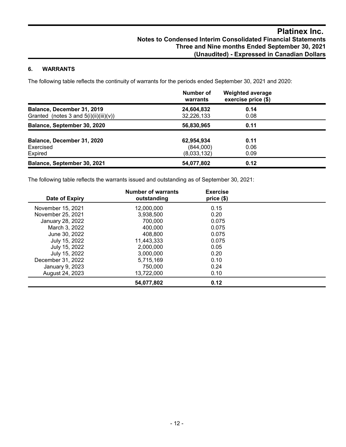## **6. WARRANTS**

The following table reflects the continuity of warrants for the periods ended September 30, 2021 and 2020:

|                                                                        | Number of<br>warrants    | <b>Weighted average</b><br>exercise price (\$) |  |
|------------------------------------------------------------------------|--------------------------|------------------------------------------------|--|
| Balance, December 31, 2019<br>Granted (notes 3 and $5(i)(ii)(iii)(v))$ | 24,604,832<br>32,226,133 | 0.14<br>0.08                                   |  |
| Balance, September 30, 2020                                            | 56,830,965               | 0.11                                           |  |
| Balance, December 31, 2020<br>Exercised                                | 62,954,934<br>(844,000)  | 0.11<br>0.06                                   |  |
| Expired                                                                | (8,033,132)              | 0.09                                           |  |
| Balance, September 30, 2021                                            | 54,077,802               | 0.12                                           |  |

The following table reflects the warrants issued and outstanding as of September 30, 2021:

| Date of Expiry    | <b>Number of warrants</b><br>outstanding | <b>Exercise</b><br>price(\$) |  |
|-------------------|------------------------------------------|------------------------------|--|
| November 15, 2021 | 12,000,000                               | 0.15                         |  |
| November 25, 2021 | 3,938,500                                | 0.20                         |  |
| January 28, 2022  | 700.000                                  | 0.075                        |  |
| March 3, 2022     | 400,000                                  | 0.075                        |  |
| June 30, 2022     | 408.800                                  | 0.075                        |  |
| July 15, 2022     | 11,443,333                               | 0.075                        |  |
| July 15, 2022     | 2,000,000                                | 0.05                         |  |
| July 15, 2022     | 3,000,000                                | 0.20                         |  |
| December 31, 2022 | 5.715.169                                | 0.10                         |  |
| January 9, 2023   | 750,000                                  | 0.24                         |  |
| August 24, 2023   | 13.722.000                               | 0.10                         |  |
|                   | 54,077,802                               | 0.12                         |  |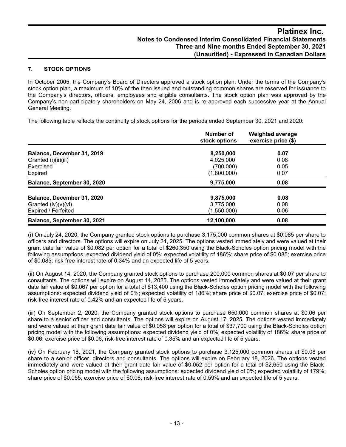## **7. STOCK OPTIONS**

In October 2005, the Company's Board of Directors approved a stock option plan. Under the terms of the Company's stock option plan, a maximum of 10% of the then issued and outstanding common shares are reserved for issuance to the Company's directors, officers, employees and eligible consultants. The stock option plan was approved by the Company's non-participatory shareholders on May 24, 2006 and is re-approved each successive year at the Annual General Meeting.

The following table reflects the continuity of stock options for the periods ended September 30, 2021 and 2020:

|                                                                            | Number of<br>stock options            | <b>Weighted average</b><br>exercise price (\$) |
|----------------------------------------------------------------------------|---------------------------------------|------------------------------------------------|
| Balance, December 31, 2019                                                 | 8,250,000                             | 0.07                                           |
| Granted (i)(ii)(iii)<br>Exercised                                          | 4,025,000<br>(700,000)                | 0.08<br>0.05<br>0.07                           |
| Expired<br>Balance, September 30, 2020                                     | (1,800,000)<br>9,775,000              | 0.08                                           |
| Balance, December 31, 2020<br>Granted $(iv)(v)(vi)$<br>Expired / Forfeited | 9,875,000<br>3,775,000<br>(1,550,000) | 0.08<br>0.08<br>0.06                           |
| Balance, September 30, 2021                                                | 12,100,000                            | 0.08                                           |

(i) On July 24, 2020, the Company granted stock options to purchase 3,175,000 common shares at \$0.085 per share to officers and directors. The options will expire on July 24, 2025. The options vested immediately and were valued at their grant date fair value of \$0.082 per option for a total of \$260,350 using the Black-Scholes option pricing model with the following assumptions: expected dividend yield of 0%; expected volatility of 186%; share price of \$0.085; exercise price of \$0.085; risk-free interest rate of 0.34% and an expected life of 5 years.

(ii) On August 14, 2020, the Company granted stock options to purchase 200,000 common shares at \$0.07 per share to consultants. The options will expire on August 14, 2025. The options vested immediately and were valued at their grant date fair value of \$0.067 per option for a total of \$13,400 using the Black-Scholes option pricing model with the following assumptions: expected dividend yield of 0%; expected volatility of 186%; share price of \$0.07; exercise price of \$0.07; risk-free interest rate of 0.42% and an expected life of 5 years.

(iii) On September 2, 2020, the Company granted stock options to purchase 650,000 common shares at \$0.06 per share to a senior officer and consultants. The options will expire on August 17, 2025. The options vested immediately and were valued at their grant date fair value of \$0.058 per option for a total of \$37,700 using the Black-Scholes option pricing model with the following assumptions: expected dividend yield of 0%; expected volatility of 186%; share price of \$0.06; exercise price of \$0.06; risk-free interest rate of 0.35% and an expected life of 5 years.

(iv) On February 18, 2021, the Company granted stock options to purchase 3,125,000 common shares at \$0.08 per share to a senior officer, directors and consultants. The options will expire on February 18, 2026. The options vested immediately and were valued at their grant date fair value of \$0.052 per option for a total of \$2,650 using the Black-Scholes option pricing model with the following assumptions: expected dividend yield of 0%; expected volatility of 179%; share price of \$0.055; exercise price of \$0.08; risk-free interest rate of 0.59% and an expected life of 5 years.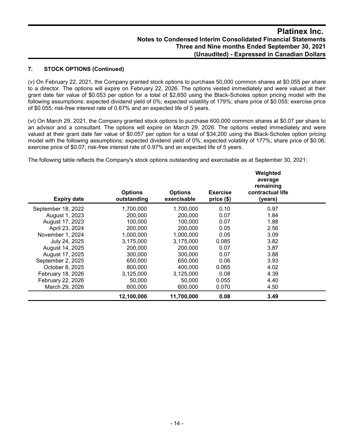## **7. STOCK OPTIONS (Continued)**

(v) On February 22, 2021, the Company granted stock options to purchase 50,000 common shares at \$0.055 per share to a director. The options will expire on February 22, 2026. The options vested immediately and were valued at their grant date fair value of \$0.053 per option for a total of \$2,650 using the Black-Scholes option pricing model with the following assumptions: expected dividend yield of 0%; expected volatility of 179%; share price of \$0.055; exercise price of \$0.055; risk-free interest rate of 0.67% and an expected life of 5 years.

(vi) On March 29, 2021, the Company granted stock options to purchase 600,000 common shares at \$0.07 per share to an advisor and a consultant. The options will expire on March 29, 2026. The options vested immediately and were valued at their grant date fair value of \$0.057 per option for a total of \$34,200 using the Black-Scholes option pricing model with the following assumptions: expected dividend yield of 0%; expected volatility of 177%; share price of \$0.06; exercise price of \$0.07; risk-free interest rate of 0.97% and an expected life of 5 years.

The following table reflects the Company's stock options outstanding and exercisable as at September 30, 2021:

| <b>Expiry date</b> | <b>Options</b><br>outstanding | <b>Options</b><br>exercisable | <b>Exercise</b><br>price (\$) | Weighted<br>average<br>remaining<br>contractual life<br>(years) |  |
|--------------------|-------------------------------|-------------------------------|-------------------------------|-----------------------------------------------------------------|--|
| September 18, 2022 | 1,700,000                     | 1,700,000                     | 0.10                          | 0.97                                                            |  |
| August 1, 2023     | 200,000                       | 200,000                       | 0.07                          | 1.84                                                            |  |
| August 17, 2023    | 100.000                       | 100.000                       | 0.07                          | 1.88                                                            |  |
| April 23, 2024     | 200,000                       | 200,000                       | 0.05                          | 2.56                                                            |  |
| November 1, 2024   | 1,000,000                     | 1,000,000                     | 0.05                          | 3.09                                                            |  |
| July 24, 2025      | 3,175,000                     | 3,175,000                     | 0.085                         | 3.82                                                            |  |
| August 14, 2025    | 200,000                       | 200,000                       | 0.07                          | 3.87                                                            |  |
| August 17, 2025    | 300,000                       | 300,000                       | 0.07                          | 3.88                                                            |  |
| September 2, 2025  | 650,000                       | 650,000                       | 0.06                          | 3.93                                                            |  |
| October 8, 2025    | 800,000                       | 400,000                       | 0.065                         | 4.02                                                            |  |
| February 18, 2026  | 3,125,000                     | 3,125,000                     | 0.08                          | 4.39                                                            |  |
| February 22, 2026  | 50,000                        | 50.000                        | 0.055                         | 4.40                                                            |  |
| March 29, 2026     | 600,000                       | 600,000                       | 0.070                         | 4.50                                                            |  |
|                    | 12,100,000                    | 11,700,000                    | 0.08                          | 3.49                                                            |  |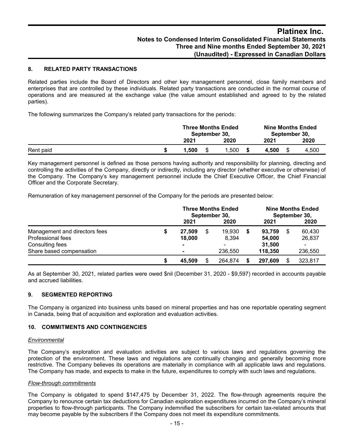## **8. RELATED PARTY TRANSACTIONS**

Related parties include the Board of Directors and other key management personnel, close family members and enterprises that are controlled by these individuals. Related party transactions are conducted in the normal course of operations and are measured at the exchange value (the value amount established and agreed to by the related parties).

The following summarizes the Company's related party transactions for the periods:

|           | <b>Three Months Ended</b><br>September 30. |      | <b>Nine Months Ended</b><br>September 30, |       |  |
|-----------|--------------------------------------------|------|-------------------------------------------|-------|--|
|           | 2021                                       | 2020 | 2021                                      | 2020  |  |
| Rent paid | 1.500                                      | .500 | 4.500                                     | 4,500 |  |

Key management personnel is defined as those persons having authority and responsibility for planning, directing and controlling the activities of the Company, directly or indirectly, including any director (whether executive or otherwise) of the Company. The Company's key management personnel include the Chief Executive Officer, the Chief Financial Officer and the Corporate Secretary.

Remuneration of key management personnel of the Company for the periods are presented below:

|                               |   | <b>Three Months Ended</b><br>September 30, |  |         | <b>Nine Months Ended</b><br>September 30, |         |  |                          |
|-------------------------------|---|--------------------------------------------|--|---------|-------------------------------------------|---------|--|--------------------------|
|                               |   | 2021                                       |  | 2020    |                                           | 2021    |  | 2020                     |
| Management and directors fees |   | 27.509                                     |  | 19.930  |                                           | 93.759  |  | 60,430                   |
| Professional fees             |   | 18,000                                     |  | 8.394   |                                           | 54,000  |  | 26,837                   |
| Consulting fees               |   |                                            |  |         |                                           | 31,500  |  | $\overline{\phantom{0}}$ |
| Share based compensation      |   |                                            |  | 236,550 |                                           | 118,350 |  | 236,550                  |
|                               | S | 45.509                                     |  | 264.874 |                                           | 297.609 |  | 323,817                  |

As at September 30, 2021, related parties were owed \$nil (December 31, 2020 - \$9,597) recorded in accounts payable and accrued liabilities.

## **9. SEGMENTED REPORTING**

The Company is organized into business units based on mineral properties and has one reportable operating segment in Canada, being that of acquisition and exploration and evaluation activities.

#### **10. COMMITMENTS AND CONTINGENCIES**

#### *Environmental*

The Company's exploration and evaluation activities are subject to various laws and regulations governing the protection of the environment. These laws and regulations are continually changing and generally becoming more restrictive. The Company believes its operations are materially in compliance with all applicable laws and regulations. The Company has made, and expects to make in the future, expenditures to comply with such laws and regulations.

#### *Flow-through commitments*

The Company is obligated to spend \$147,475 by December 31, 2022. The flow-through agreements require the Company to renounce certain tax deductions for Canadian exploration expenditures incurred on the Company's mineral properties to flow-through participants. The Company indemnified the subscribers for certain tax-related amounts that may become payable by the subscribers if the Company does not meet its expenditure commitments.